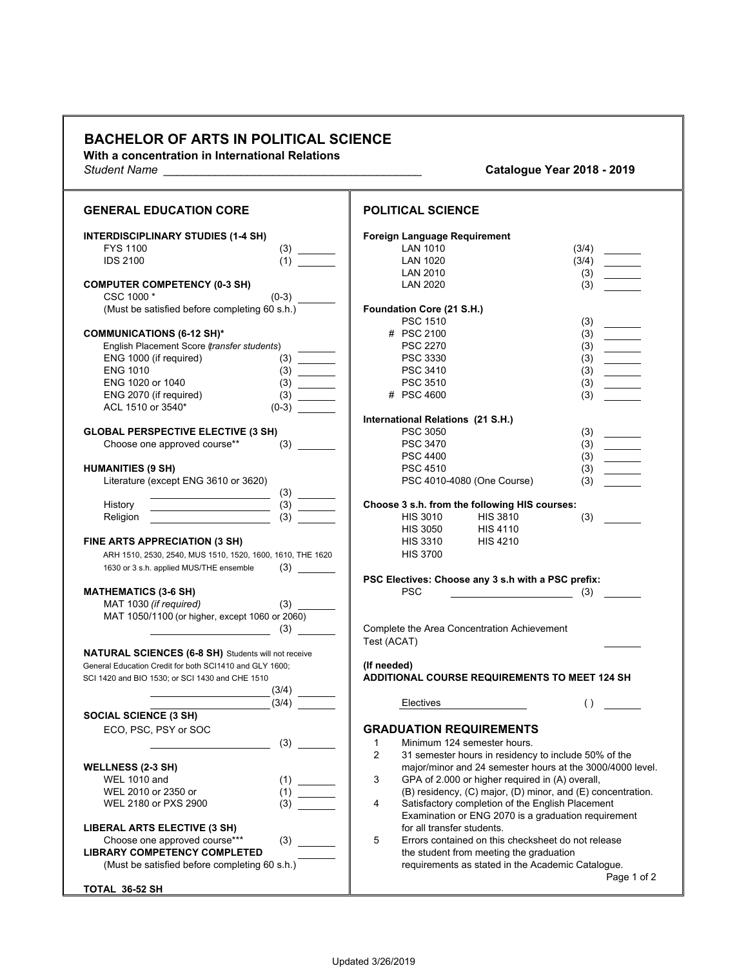## **BACHELOR OF ARTS IN POLITICAL SCIENCE**

**With a concentration in International Relations**

*Student Name \_\_\_\_\_\_\_\_\_\_\_\_\_\_\_\_\_\_\_\_\_\_\_\_\_\_\_\_\_\_\_\_\_\_\_\_\_\_\_\_* **Catalogue Year 2018 - 2019**

| <b>GENERAL EDUCATION CORE</b>                                                                 | <b>POLITICAL SCIENCE</b>                                                                                  |
|-----------------------------------------------------------------------------------------------|-----------------------------------------------------------------------------------------------------------|
| <b>INTERDISCIPLINARY STUDIES (1-4 SH)</b><br><b>FYS 1100</b><br>(3)<br><b>IDS 2100</b><br>(1) | Foreign Language Requirement<br><b>LAN 1010</b><br>(3/4)<br>$\overline{\phantom{a}}$<br>LAN 1020<br>(3/4) |
|                                                                                               |                                                                                                           |
|                                                                                               | LAN 2010<br>(3)                                                                                           |
| <b>COMPUTER COMPETENCY (0-3 SH)</b>                                                           | (3)<br><b>LAN 2020</b>                                                                                    |
| CSC 1000*                                                                                     |                                                                                                           |
| (Must be satisfied before completing 60 s.h.)                                                 | Foundation Core (21 S.H.)                                                                                 |
|                                                                                               | <b>PSC 1510</b><br>(3)                                                                                    |
| <b>COMMUNICATIONS (6-12 SH)*</b>                                                              | # PSC 2100<br>(3)<br>$\overline{\phantom{a}}$                                                             |
| English Placement Score (transfer students)                                                   | <b>PSC 2270</b><br>$(3) \quad \qquad$                                                                     |
| ENG 1000 (if required)<br>(3)                                                                 | PSC 3330<br>(3)                                                                                           |
| <b>ENG 1010</b>                                                                               | PSC 3410                                                                                                  |
| ENG 1020 or 1040                                                                              | PSC 3510<br>(3)<br>$\sim 10^{11}$ m $^{-1}$                                                               |
| ENG 2070 (if required)                                                                        | # PSC 4600<br>(3)                                                                                         |
| ACL 1510 or 3540*<br>$(0-3)$                                                                  |                                                                                                           |
|                                                                                               | International Relations (21 S.H.)                                                                         |
| <b>GLOBAL PERSPECTIVE ELECTIVE (3 SH)</b>                                                     | <b>PSC 3050</b><br>(3)                                                                                    |
| Choose one approved course**                                                                  | <b>PSC 3470</b>                                                                                           |
|                                                                                               | (3)<br>(3)<br><b>PSC 4400</b>                                                                             |
| <b>HUMANITIES (9 SH)</b>                                                                      | $\sim$ $\sim$ $\sim$ $\sim$                                                                               |
|                                                                                               | <b>PSC 4510</b><br>(3)                                                                                    |
| Literature (except ENG 3610 or 3620)                                                          | PSC 4010-4080 (One Course)<br>(3)                                                                         |
|                                                                                               |                                                                                                           |
| History                                                                                       | Choose 3 s.h. from the following HIS courses:                                                             |
| (3)<br>Religion<br><u> Albany a Communication (Albany a Communication</u>                     | <b>HIS 3810</b><br><b>HIS 3010</b><br>(3)                                                                 |
|                                                                                               | <b>HIS 3050</b><br><b>HIS 4110</b>                                                                        |
| FINE ARTS APPRECIATION (3 SH)                                                                 | <b>HIS 3310</b><br><b>HIS 4210</b>                                                                        |
| ARH 1510, 2530, 2540, MUS 1510, 1520, 1600, 1610, THE 1620                                    | <b>HIS 3700</b>                                                                                           |
| $(3) \quad \qquad \qquad$<br>1630 or 3 s.h. applied MUS/THE ensemble                          |                                                                                                           |
|                                                                                               | PSC Electives: Choose any 3 s.h with a PSC prefix:                                                        |
| <b>MATHEMATICS (3-6 SH)</b>                                                                   | <b>PSC</b><br>$\sim$ (3) $\sim$                                                                           |
| (3)<br>MAT 1030 (if required)                                                                 |                                                                                                           |
| MAT 1050/1100 (or higher, except 1060 or 2060)                                                |                                                                                                           |
| $\sim$ (3)                                                                                    | Complete the Area Concentration Achievement                                                               |
|                                                                                               | Test (ACAT)                                                                                               |
| <b>NATURAL SCIENCES (6-8 SH)</b> Students will not receive                                    |                                                                                                           |
| General Education Credit for both SCI1410 and GLY 1600;                                       | (If needed)                                                                                               |
| SCI 1420 and BIO 1530; or SCI 1430 and CHE 1510                                               | <b>ADDITIONAL COURSE REQUIREMENTS TO MEET 124 SH</b>                                                      |
| (3/4)                                                                                         |                                                                                                           |
| (3/4)                                                                                         | Electives<br>( )                                                                                          |
| <b>SOCIAL SCIENCE (3 SH)</b>                                                                  |                                                                                                           |
| ECO, PSC, PSY or SOC                                                                          | <b>GRADUATION REQUIREMENTS</b>                                                                            |
| (3)                                                                                           | 1 Minimum 124 semester hours                                                                              |
|                                                                                               | 2<br>31 semester hours in residency to include 50% of the                                                 |
| <b>WELLNESS (2-3 SH)</b>                                                                      | major/minor and 24 semester hours at the 3000/4000 level.                                                 |
| <b>WEL 1010 and</b>                                                                           | 3<br>GPA of 2.000 or higher required in (A) overall,                                                      |
| WEL 2010 or 2350 or                                                                           | $(B)$ residency, $(C)$ major, $(D)$ minor, and $(E)$ concentration.                                       |
| WEL 2180 or PXS 2900<br>(3)                                                                   | 4<br>Satisfactory completion of the English Placement                                                     |
|                                                                                               | Examination or ENG 2070 is a graduation requirement                                                       |
| <b>LIBERAL ARTS ELECTIVE (3 SH)</b>                                                           | for all transfer students.                                                                                |
| (3)<br>Choose one approved course***                                                          | 5<br>Errors contained on this checksheet do not release                                                   |
| <b>LIBRARY COMPETENCY COMPLETED</b>                                                           | the student from meeting the graduation                                                                   |
| (Must be satisfied before completing 60 s.h.)                                                 | requirements as stated in the Academic Catalogue.                                                         |
|                                                                                               | Page 1 of 2                                                                                               |
| TOTAL 36-52 SH                                                                                |                                                                                                           |

T